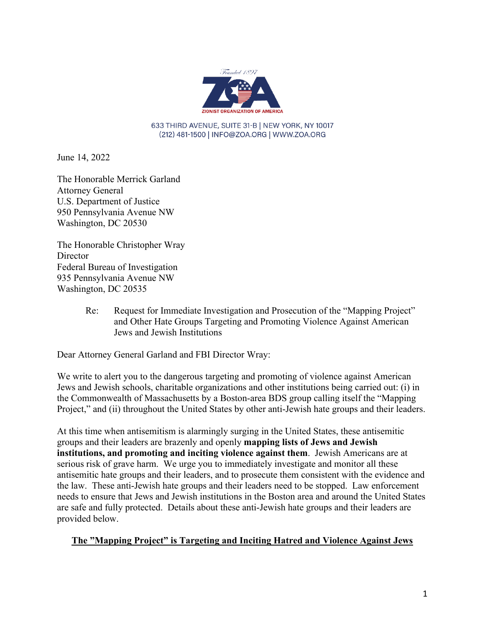

633 THIRD AVENUE, SUITE 31-B | NEW YORK, NY 10017 (212) 481-1500 | INFO@ZOA.ORG | WWW.ZOA.ORG

June 14, 2022

The Honorable Merrick Garland Attorney General U.S. Department of Justice 950 Pennsylvania Avenue NW Washington, DC 20530

The Honorable Christopher Wray **Director** Federal Bureau of Investigation 935 Pennsylvania Avenue NW Washington, DC 20535

> Re: Request for Immediate Investigation and Prosecution of the "Mapping Project" and Other Hate Groups Targeting and Promoting Violence Against American Jews and Jewish Institutions

Dear Attorney General Garland and FBI Director Wray:

We write to alert you to the dangerous targeting and promoting of violence against American Jews and Jewish schools, charitable organizations and other institutions being carried out: (i) in the Commonwealth of Massachusetts by a Boston-area BDS group calling itself the "Mapping Project," and (ii) throughout the United States by other anti-Jewish hate groups and their leaders.

At this time when antisemitism is alarmingly surging in the United States, these antisemitic groups and their leaders are brazenly and openly **mapping lists of Jews and Jewish institutions, and promoting and inciting violence against them**. Jewish Americans are at serious risk of grave harm. We urge you to immediately investigate and monitor all these antisemitic hate groups and their leaders, and to prosecute them consistent with the evidence and the law. These anti-Jewish hate groups and their leaders need to be stopped. Law enforcement needs to ensure that Jews and Jewish institutions in the Boston area and around the United States are safe and fully protected. Details about these anti-Jewish hate groups and their leaders are provided below.

#### **The "Mapping Project" is Targeting and Inciting Hatred and Violence Against Jews**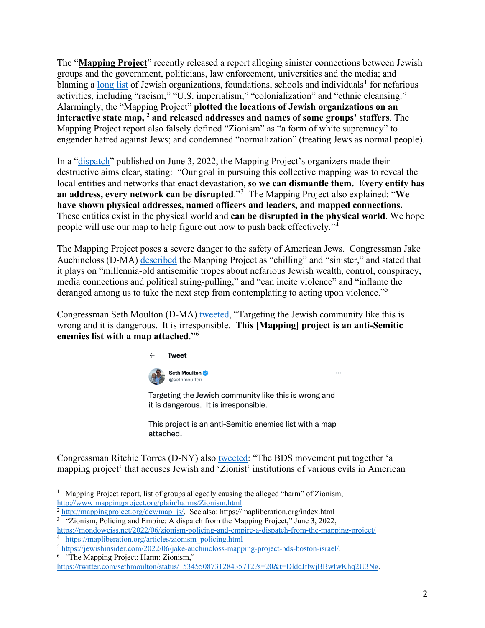The "**Mapping Project**" recently released a report alleging sinister connections between Jewish groups and the government, politicians, law enforcement, universities and the media; and blaming a [long list](http://www.mappingproject.org/plain/harms/Zionism.html) of Jewish organizations, foundations, schools and individuals<sup>[1](#page-1-0)</sup> for nefarious activities, including "racism," "U.S. imperialism," "colonialization" and "ethnic cleansing." Alarmingly, the "Mapping Project" **plotted the locations of Jewish organizations on an interactive state map, [2](#page-1-1) and released addresses and names of some groups' staffers**. The Mapping Project report also falsely defined "Zionism" as "a form of white supremacy" to engender hatred against Jews; and condemned "normalization" (treating Jews as normal people).

In a ["dispatch"](https://mondoweiss.net/2022/06/zionism-policing-and-empire-a-dispatch-from-the-mapping-project/) published on June 3, 2022, the Mapping Project's organizers made their destructive aims clear, stating: "Our goal in pursuing this collective mapping was to reveal the local entities and networks that enact devastation, **so we can dismantle them. Every entity has an address, every network can be disrupted**."[3](#page-1-2) The Mapping Project also explained: "**We have shown physical addresses, named officers and leaders, and mapped connections.** These entities exist in the physical world and **can be disrupted in the physical world**. We hope people will use our map to help figure out how to push back effectively."[4](#page-1-3)

The Mapping Project poses a severe danger to the safety of American Jews. Congressman Jake Auchincloss (D-MA) [described](https://jewishinsider.com/2022/06/jake-auchincloss-mapping-project-bds-boston-israel/) the Mapping Project as "chilling" and "sinister," and stated that it plays on "millennia-old antisemitic tropes about nefarious Jewish wealth, control, conspiracy, media connections and political string-pulling," and "can incite violence" and "inflame the deranged among us to take the next step from contemplating to acting upon violence."<sup>[5](#page-1-4)</sup>

Congressman Seth Moulton (D-MA) [tweeted,](https://twitter.com/sethmoulton/status/1534550873128435712?s=20&t=DldcJflwjBBwlwKhq2U3Ng) "Targeting the Jewish community like this is wrong and it is dangerous. It is irresponsible. **This [Mapping] project is an anti-Semitic enemies list with a map attached**."[6](#page-1-5)



Targeting the Jewish community like this is wrong and it is dangerous. It is irresponsible.

This project is an anti-Semitic enemies list with a map attached.

Congressman Ritchie Torres (D-NY) also [tweeted:](https://twitter.com/RitchieTorres/status/1534509956225028098) "The BDS movement put together 'a mapping project' that accuses Jewish and 'Zionist' institutions of various evils in American

<span id="page-1-1"></span><sup>3</sup> "Zionism, Policing and Empire: A dispatch from the Mapping Project," June 3, 2022,

<span id="page-1-2"></span><https://mondoweiss.net/2022/06/zionism-policing-and-empire-a-dispatch-from-the-mapping-project/>4 <sup>4</sup> [https://mapliberation.org/articles/zionism\\_policing.html](https://mapliberation.org/articles/zionism_policing.html)

<span id="page-1-5"></span>

<span id="page-1-0"></span><sup>&</sup>lt;sup>1</sup> Mapping Project report, list of groups allegedly causing the alleged "harm" of Zionism, http://www.mappingproject.org/plain/harms/Zionism.html<br>
<sup>2</sup> [http://mappingproject.org/dev/map\\_js/.](http://mappingproject.org/dev/map_js/) See also: https://mapliberation.org/index.html

<span id="page-1-4"></span><span id="page-1-3"></span><sup>5</sup> [https://jewishinsider.com/2022/06/jake-auchincloss-mapping-project-bds-boston-israel/.](https://jewishinsider.com/2022/06/jake-auchincloss-mapping-project-bds-boston-israel/) 6 "The Mapping Project: Harm: Zionism,"

[https://twitter.com/sethmoulton/status/1534550873128435712?s=20&t=DldcJflwjBBwlwKhq2U3Ng.](https://twitter.com/sethmoulton/status/1534550873128435712?s=20&t=DldcJflwjBBwlwKhq2U3Ng)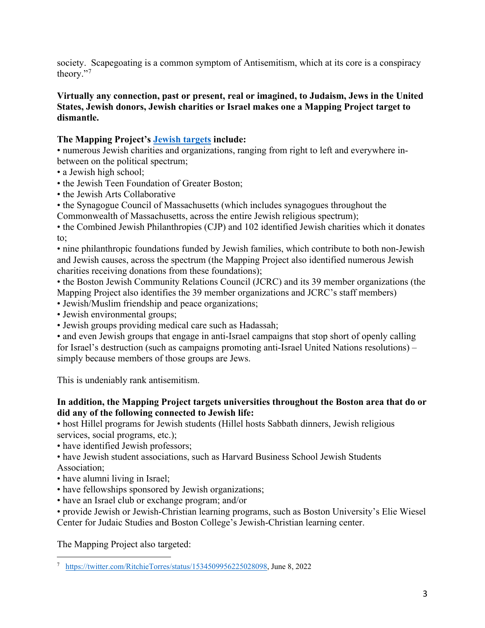society. Scapegoating is a common symptom of Antisemitism, which at its core is a conspiracy theory."[7](#page-2-0)

#### **Virtually any connection, past or present, real or imagined, to Judaism, Jews in the United States, Jewish donors, Jewish charities or Israel makes one a Mapping Project target to dismantle.**

## **The Mapping Project's [Jewish targets](http://www.mappingproject.org/plain/harms/Zionism.html) include:**

• numerous Jewish charities and organizations, ranging from right to left and everywhere inbetween on the political spectrum;

- a Jewish high school;
- the Jewish Teen Foundation of Greater Boston;
- the Jewish Arts Collaborative
- the Synagogue Council of Massachusetts (which includes synagogues throughout the
- Commonwealth of Massachusetts, across the entire Jewish religious spectrum);

• the Combined Jewish Philanthropies (CJP) and 102 identified Jewish charities which it donates to;

• nine philanthropic foundations funded by Jewish families, which contribute to both non-Jewish and Jewish causes, across the spectrum (the Mapping Project also identified numerous Jewish charities receiving donations from these foundations);

• the Boston Jewish Community Relations Council (JCRC) and its 39 member organizations (the Mapping Project also identifies the 39 member organizations and JCRC's staff members)

- Jewish/Muslim friendship and peace organizations;
- Jewish environmental groups;
- Jewish groups providing medical care such as Hadassah;

• and even Jewish groups that engage in anti-Israel campaigns that stop short of openly calling for Israel's destruction (such as campaigns promoting anti-Israel United Nations resolutions) – simply because members of those groups are Jews.

This is undeniably rank antisemitism.

## **In addition, the Mapping Project targets universities throughout the Boston area that do or did any of the following connected to Jewish life:**

• host Hillel programs for Jewish students (Hillel hosts Sabbath dinners, Jewish religious services, social programs, etc.);

• have identified Jewish professors;

• have Jewish student associations, such as Harvard Business School Jewish Students Association;

- have alumni living in Israel;
- have fellowships sponsored by Jewish organizations;
- have an Israel club or exchange program; and/or

• provide Jewish or Jewish-Christian learning programs, such as Boston University's Elie Wiesel Center for Judaic Studies and Boston College's Jewish-Christian learning center.

The Mapping Project also targeted:

<span id="page-2-0"></span><sup>&</sup>lt;sup>7</sup> [https://twitter.com/RitchieTorres/status/1534509956225028098,](https://twitter.com/RitchieTorres/status/1534509956225028098) June 8, 2022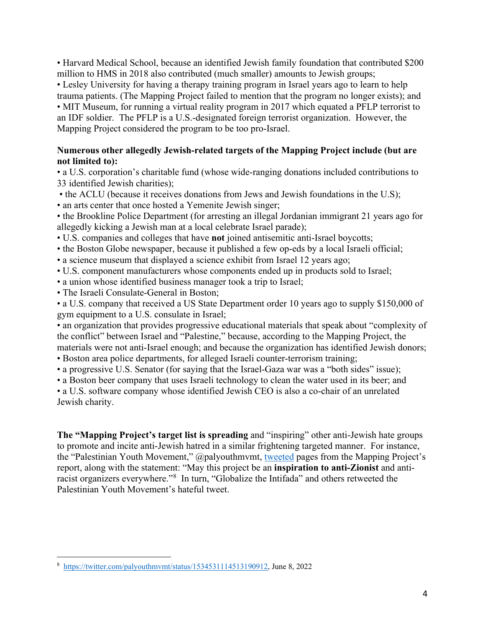• Harvard Medical School, because an identified Jewish family foundation that contributed \$200 million to HMS in 2018 also contributed (much smaller) amounts to Jewish groups;

• Lesley University for having a therapy training program in Israel years ago to learn to help trauma patients. (The Mapping Project failed to mention that the program no longer exists); and • MIT Museum, for running a virtual reality program in 2017 which equated a PFLP terrorist to an IDF soldier. The PFLP is a U.S.-designated foreign terrorist organization. However, the Mapping Project considered the program to be too pro-Israel.

### **Numerous other allegedly Jewish-related targets of the Mapping Project include (but are not limited to):**

• a U.S. corporation's charitable fund (whose wide-ranging donations included contributions to 33 identified Jewish charities);

 • the ACLU (because it receives donations from Jews and Jewish foundations in the U.S); • an arts center that once hosted a Yemenite Jewish singer;

• the Brookline Police Department (for arresting an illegal Jordanian immigrant 21 years ago for allegedly kicking a Jewish man at a local celebrate Israel parade);

- U.S. companies and colleges that have **not** joined antisemitic anti-Israel boycotts;
- the Boston Globe newspaper, because it published a few op-eds by a local Israeli official;
- a science museum that displayed a science exhibit from Israel 12 years ago;
- U.S. component manufacturers whose components ended up in products sold to Israel;
- a union whose identified business manager took a trip to Israel;
- The Israeli Consulate-General in Boston;

• a U.S. company that received a US State Department order 10 years ago to supply \$150,000 of gym equipment to a U.S. consulate in Israel;

• an organization that provides progressive educational materials that speak about "complexity of the conflict" between Israel and "Palestine," because, according to the Mapping Project, the materials were not anti-Israel enough; and because the organization has identified Jewish donors;

- Boston area police departments, for alleged Israeli counter-terrorism training;
- a progressive U.S. Senator (for saying that the Israel-Gaza war was a "both sides" issue);
- a Boston beer company that uses Israeli technology to clean the water used in its beer; and

• a U.S. software company whose identified Jewish CEO is also a co-chair of an unrelated Jewish charity.

**The "Mapping Project's target list is spreading** and "inspiring" other anti-Jewish hate groups to promote and incite anti-Jewish hatred in a similar frightening targeted manner. For instance, the "Palestinian Youth Movement," @palyouthmvmt, [tweeted](https://twitter.com/palyouthmvmt/status/1534531114513190912) pages from the Mapping Project's report, along with the statement: "May this project be an **inspiration to anti-Zionist** and anti-racist organizers everywhere."<sup>[8](#page-3-0)</sup> In turn, "Globalize the Intifada" and others retweeted the Palestinian Youth Movement's hateful tweet.

<span id="page-3-0"></span><sup>&</sup>lt;sup>8</sup> [https://twitter.com/palyouthmvmt/status/1534531114513190912,](https://twitter.com/palyouthmvmt/status/1534531114513190912) June 8, 2022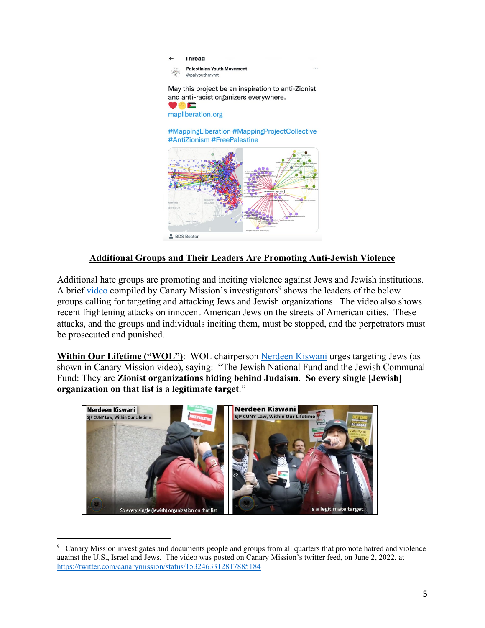

## **Additional Groups and Their Leaders Are Promoting Anti-Jewish Violence**

Additional hate groups are promoting and inciting violence against Jews and Jewish institutions. A brief [video](https://twitter.com/canarymission/status/1532463312817885184) compiled by Canary Mission's investigators<sup>[9](#page-4-0)</sup> shows the leaders of the below groups calling for targeting and attacking Jews and Jewish organizations. The video also shows recent frightening attacks on innocent American Jews on the streets of American cities. These attacks, and the groups and individuals inciting them, must be stopped, and the perpetrators must be prosecuted and punished.

**Within Our Lifetime ("WOL")**: WOL chairperson [Nerdeen Kiswani](https://canarymission.org/individual/Nerdeen_Kiswani) urges targeting Jews (as shown in Canary Mission video), saying: "The Jewish National Fund and the Jewish Communal Fund: They are **Zionist organizations hiding behind Judaism**. **So every single [Jewish] organization on that list is a legitimate target**."

<span id="page-4-0"></span>

<sup>9</sup> Canary Mission investigates and documents people and groups from all quarters that promote hatred and violence against the U.S., Israel and Jews. The video was posted on Canary Mission's twitter feed, on June 2, 2022, at <https://twitter.com/canarymission/status/1532463312817885184>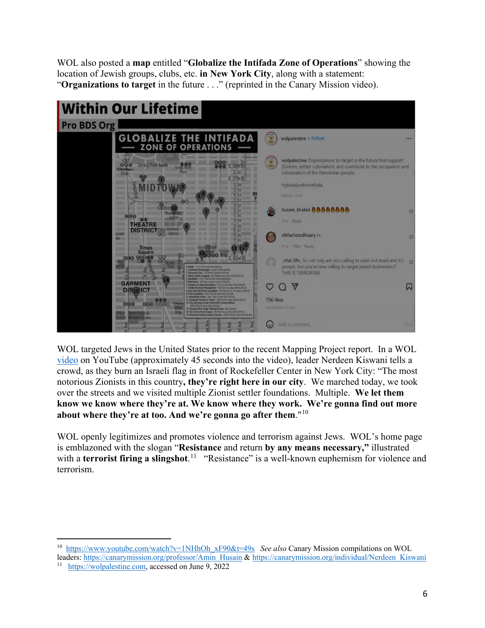WOL also posted a **map** entitled "**Globalize the Intifada Zone of Operations**" showing the location of Jewish groups, clubs, etc. **in New York City**, along with a statement: "**Organizations to target** in the future . . ." (reprinted in the Canary Mission video).



WOL targeted Jews in the United States prior to the recent Mapping Project report. In a WOL [video](https://www.youtube.com/watch?v=1NHhOh_xF90&t=12s) on YouTube (approximately 45 seconds into the video), leader Nerdeen Kiswani tells a crowd, as they burn an Israeli flag in front of Rockefeller Center in New York City: "The most notorious Zionists in this country**, they're right here in our city**. We marched today, we took over the streets and we visited multiple Zionist settler foundations. Multiple. **We let them know we know where they're at. We know where they work. We're gonna find out more about where they're at too. And we're gonna go after them**."[10](#page-5-0)

WOL openly legitimizes and promotes violence and terrorism against Jews. WOL's home page is emblazoned with the slogan "**Resistance** and return **by any means necessary,"** illustrated with a **terrorist firing a slingshot**.<sup>[11](#page-5-1)</sup> "Resistance" is a well-known euphemism for violence and terrorism.

<span id="page-5-0"></span><sup>10</sup> [https://www.youtube.com/watch?v=1NHhOh\\_xF90&t=49s](https://www.youtube.com/watch?v=1NHhOh_xF90&t=49s) *See also* Canary Mission compilations on WOL leaders: https://canarymission.org/professor/Amin\_Husain [& https://canarymission.org/individual/Nerdeen\\_Kiswani](https://canarymission.org/individual/Nerdeen_Kiswani) 11 [https://wolpalestine.com,](https://wolpalestine.com/) accessed on June 9, 2022

<span id="page-5-1"></span>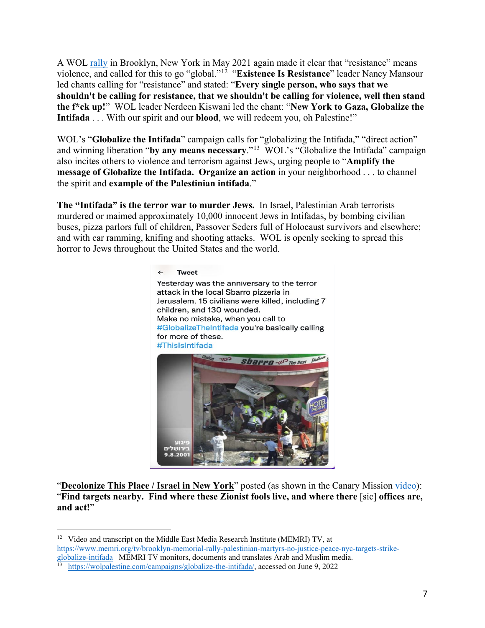A WOL **rally** in Brooklyn, New York in May 2021 again made it clear that "resistance" means violence, and called for this to go "global."[12](#page-6-0) "**Existence Is Resistance**" leader Nancy Mansour led chants calling for "resistance" and stated: "**Every single person, who says that we shouldn't be calling for resistance, that we shouldn't be calling for violence, well then stand the f\*ck up!**" WOL leader Nerdeen Kiswani led the chant: "**New York to Gaza, Globalize the Intifada** . . . With our spirit and our **blood**, we will redeem you, oh Palestine!"

WOL's "**Globalize the Intifada**" campaign calls for "globalizing the Intifada," "direct action" and winning liberation "**by any means necessary**."[13](#page-6-1) WOL's "Globalize the Intifada" campaign also incites others to violence and terrorism against Jews, urging people to "**Amplify the message of Globalize the Intifada. Organize an action** in your neighborhood . . . to channel the spirit and **example of the Palestinian intifada**."

**The "Intifada" is the terror war to murder Jews.** In Israel, Palestinian Arab terrorists murdered or maimed approximately 10,000 innocent Jews in Intifadas, by bombing civilian buses, pizza parlors full of children, Passover Seders full of Holocaust survivors and elsewhere; and with car ramming, knifing and shooting attacks. WOL is openly seeking to spread this horror to Jews throughout the United States and the world.



"**Decolonize This Place / Israel in New York**" posted (as shown in the Canary Mission [video\)](https://twitter.com/canarymission/status/1532463312817885184): "**Find targets nearby. Find where these Zionist fools live, and where there** [sic] **offices are, and act!**"

<span id="page-6-0"></span><sup>&</sup>lt;sup>12</sup> Video and transcript on the Middle East Media Research Institute (MEMRI) TV, at  $\frac{h_{\text{th}}}{h_{\text{th}}}}$  https://www.memri.org/tv/brooklyn-memorial-rally-palestinian-martyrs-no-justice-peace-nyc-targets-strike[https://www.memri.org/tv/brooklyn-memorial-rally-palestinian-martyrs-no-justice-peace-nyc-targets-strike](https://www.memri.org/tv/brooklyn-memorial-rally-palestinian-martyrs-no-justice-peace-nyc-targets-strike-globalize-intifada)[globalize-intifada](https://www.memri.org/tv/brooklyn-memorial-rally-palestinian-martyrs-no-justice-peace-nyc-targets-strike-globalize-intifada) MEMRI TV monitors, documents and translates Arab and Muslim media.<br><sup>13</sup> [https://wolpalestine.com/campaigns/globalize-the-intifada/,](https://wolpalestine.com/campaigns/globalize-the-intifada/) accessed on June 9, 2022

<span id="page-6-1"></span>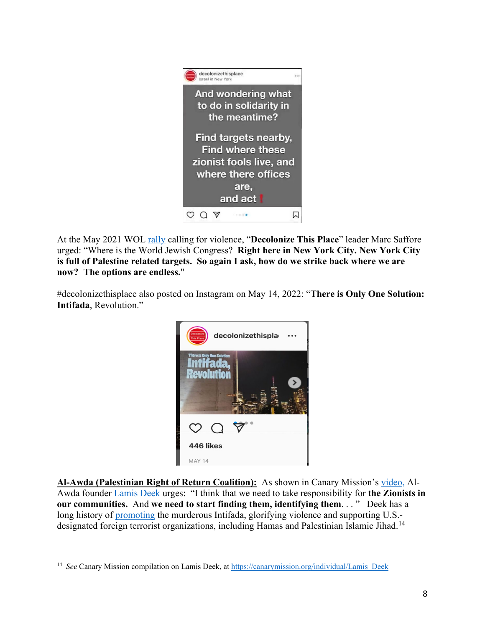

At the May 2021 WOL [rally](https://www.memri.org/tv/brooklyn-memorial-rally-palestinian-martyrs-no-justice-peace-nyc-targets-strike-globalize-intifada) calling for violence, "**Decolonize This Place**" leader Marc Saffore urged: "Where is the World Jewish Congress? **Right here in New York City. New York City is full of Palestine related targets. So again I ask, how do we strike back where we are now? The options are endless.**"

#decolonizethisplace also posted on Instagram on May 14, 2022: "**There is Only One Solution: Intifada**, Revolution."



**Al-Awda (Palestinian Right of Return Coalition):** As shown in Canary Mission's [video,](https://twitter.com/canarymission/status/1532463312817885184) Al-Awda founder [Lamis Deek](https://canarymission.org/individual/Lamis_Deek) urges: "I think that we need to take responsibility for **the Zionists in our communities.** And **we need to start finding them, identifying them**. . . " Deek has a long history of [promoting](https://canarymission.org/individual/Lamis_Deek) the murderous Intifada, glorifying violence and supporting U.S.- designated foreign terrorist organizations, including Hamas and Palestinian Islamic Jihad.<sup>[14](#page-7-0)</sup>

<span id="page-7-0"></span><sup>&</sup>lt;sup>14</sup> See Canary Mission compilation on Lamis Deek, at https://canarymission.org/individual/Lamis\_Deek